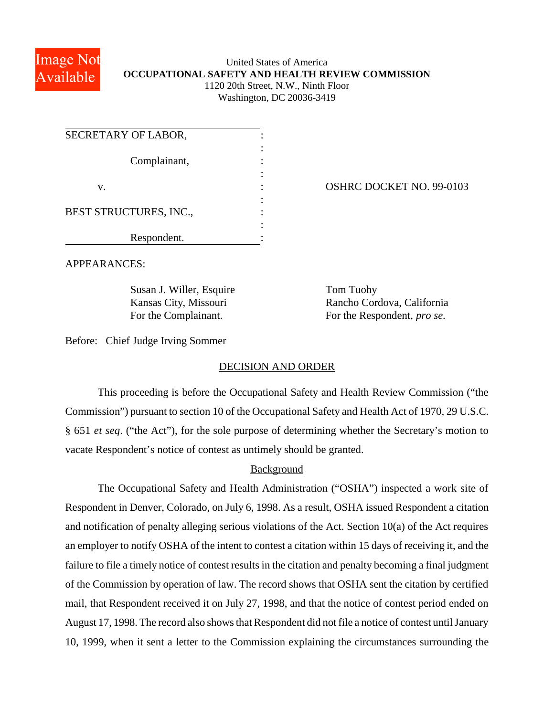

## United States of America **OCCUPATIONAL SAFETY AND HEALTH REVIEW COMMISSION** 1120 20th Street, N.W., Ninth Floor

Washington, DC 20036-3419

| SECRETARY OF LABOR,    |  |
|------------------------|--|
| Complainant,           |  |
|                        |  |
| V.                     |  |
|                        |  |
| BEST STRUCTURES, INC., |  |
|                        |  |
| Respondent.            |  |

OSHRC DOCKET NO. 99-0103

APPEARANCES:

Susan J. Willer, Esquire Tom Tuohy

Kansas City, Missouri Rancho Cordova, California For the Complainant. For the Respondent, *pro se*.

Before: Chief Judge Irving Sommer

## DECISION AND ORDER

This proceeding is before the Occupational Safety and Health Review Commission ("the Commission") pursuant to section 10 of the Occupational Safety and Health Act of 1970, 29 U.S.C. § 651 *et seq*. ("the Act"), for the sole purpose of determining whether the Secretary's motion to vacate Respondent's notice of contest as untimely should be granted.

## Background

The Occupational Safety and Health Administration ("OSHA") inspected a work site of Respondent in Denver, Colorado, on July 6, 1998. As a result, OSHA issued Respondent a citation and notification of penalty alleging serious violations of the Act. Section 10(a) of the Act requires an employer to notify OSHA of the intent to contest a citation within 15 days of receiving it, and the failure to file a timely notice of contest results in the citation and penalty becoming a final judgment of the Commission by operation of law. The record shows that OSHA sent the citation by certified mail, that Respondent received it on July 27, 1998, and that the notice of contest period ended on August 17, 1998. The record also shows that Respondent did not file a notice of contest until January 10, 1999, when it sent a letter to the Commission explaining the circumstances surrounding the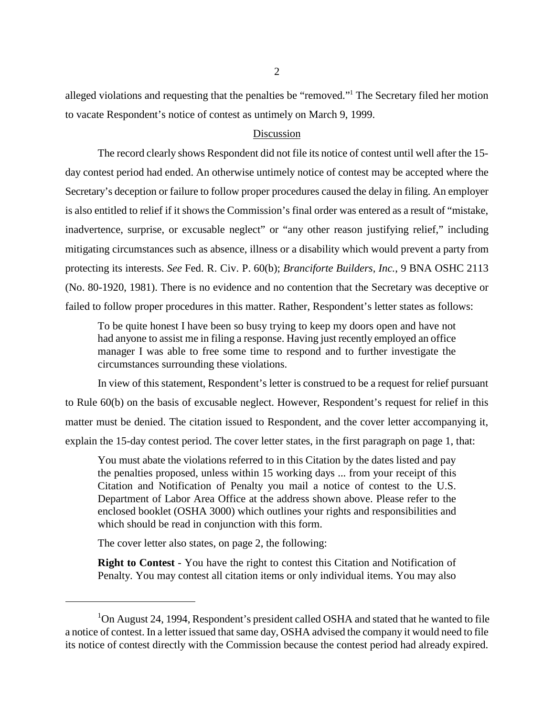alleged violations and requesting that the penalties be "removed."1 The Secretary filed her motion to vacate Respondent's notice of contest as untimely on March 9, 1999.

## Discussion

The record clearly shows Respondent did not file its notice of contest until well after the 15 day contest period had ended. An otherwise untimely notice of contest may be accepted where the Secretary's deception or failure to follow proper procedures caused the delay in filing. An employer is also entitled to relief if it shows the Commission's final order was entered as a result of "mistake, inadvertence, surprise, or excusable neglect" or "any other reason justifying relief," including mitigating circumstances such as absence, illness or a disability which would prevent a party from protecting its interests. *See* Fed. R. Civ. P. 60(b); *Branciforte Builders, Inc.*, 9 BNA OSHC 2113 (No. 80-1920, 1981). There is no evidence and no contention that the Secretary was deceptive or failed to follow proper procedures in this matter. Rather, Respondent's letter states as follows:

To be quite honest I have been so busy trying to keep my doors open and have not had anyone to assist me in filing a response. Having just recently employed an office manager I was able to free some time to respond and to further investigate the circumstances surrounding these violations.

In view of this statement, Respondent's letter is construed to be a request for relief pursuant to Rule 60(b) on the basis of excusable neglect. However, Respondent's request for relief in this matter must be denied. The citation issued to Respondent, and the cover letter accompanying it, explain the 15-day contest period. The cover letter states, in the first paragraph on page 1, that:

You must abate the violations referred to in this Citation by the dates listed and pay the penalties proposed, unless within 15 working days ... from your receipt of this Citation and Notification of Penalty you mail a notice of contest to the U.S. Department of Labor Area Office at the address shown above. Please refer to the enclosed booklet (OSHA 3000) which outlines your rights and responsibilities and which should be read in conjunction with this form.

The cover letter also states, on page 2, the following:

**Right to Contest** - You have the right to contest this Citation and Notification of Penalty. You may contest all citation items or only individual items. You may also

<sup>&</sup>lt;sup>1</sup>On August 24, 1994, Respondent's president called OSHA and stated that he wanted to file a notice of contest. In a letter issued that same day, OSHA advised the company it would need to file its notice of contest directly with the Commission because the contest period had already expired.